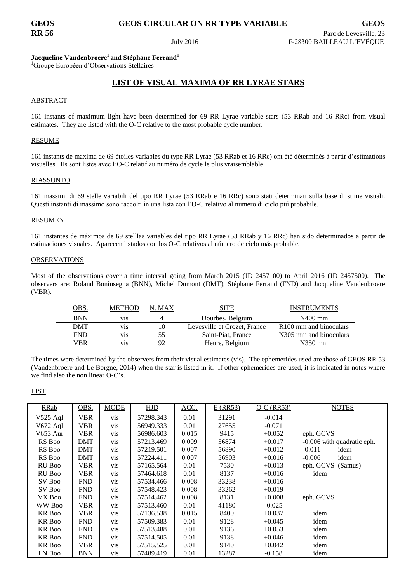# **GEOS GEOS CIRCULAR ON RR TYPE VARIABLE GEOS**

## **Jacqueline Vandenbroere<sup>1</sup> and Stéphane Ferrand<sup>1</sup>**

<sup>1</sup>Groupe Européen d'Observations Stellaires

## **LIST OF VISUAL MAXIMA OF RR LYRAE STARS**

### ABSTRACT

161 instants of maximum light have been determined for 69 RR Lyrae variable stars (53 RRab and 16 RRc) from visual estimates. They are listed with the O-C relative to the most probable cycle number.

### RESUME

161 instants de maxima de 69 étoiles variables du type RR Lyrae (53 RRab et 16 RRc) ont été déterminés à partir d'estimations visuelles. Ils sont listés avec l'O-C relatif au numéro de cycle le plus vraisemblable.

### RIASSUNTO

161 massimi di 69 stelle variabili del tipo RR Lyrae (53 RRab e 16 RRc) sono stati determinati sulla base di stime visuali. Questi instanti di massimo sono raccolti in una lista con l'O-C relativo al numero di ciclo piú probabile.

#### RESUMEN

161 instantes de máximos de 69 stelllas variables del tipo RR Lyrae (53 RRab y 16 RRc) han sido determinados a partir de estimaciones visuales. Aparecen listados con los O-C relativos al número de ciclo más probable.

#### OBSERVATIONS

Most of the observations cover a time interval going from March 2015 (JD 2457100) to April 2016 (JD 2457500). The observers are: Roland Boninsegna (BNN), Michel Dumont (DMT), Stéphane Ferrand (FND) and Jacqueline Vandenbroere (VBR).

| <u><b>OBS.</b></u> | <b>METHOD</b> | . MAX | SITE                         | <b>INSTRUMENTS</b>                  |
|--------------------|---------------|-------|------------------------------|-------------------------------------|
| <b>BNN</b>         | V1S           |       | Dourbes, Belgium             | $N400$ mm                           |
| <b>DMT</b>         | V1S           | 10    | Levesville et Crozet, France | R <sub>100</sub> mm and binoculars  |
| <b>FND</b>         | V1S           | 55    | Saint-Piat, France           | N <sub>3</sub> 05 mm and binoculars |
| VBR                | V1S           | 92    | Heure, Belgium               | N350 mm                             |

The times were determined by the observers from their visual estimates (vis). The ephemerides used are those of GEOS RR 53 (Vandenbroere and Le Borgne, 2014) when the star is listed in it. If other ephemerides are used, it is indicated in notes where we find also the non linear O-C's.

LIST

| RRab          | OBS.       | <b>MODE</b> | <b>HJD</b> | ACC.  | $E$ (RR53) | $O-C$ (RR53) | <b>NOTES</b>               |
|---------------|------------|-------------|------------|-------|------------|--------------|----------------------------|
| $V525$ Aql    | VBR        | vis         | 57298.343  | 0.01  | 31291      | $-0.014$     |                            |
| V672 Aql      | VBR        | <b>VIS</b>  | 56949.333  | 0.01  | 27655      | $-0.071$     |                            |
| V653 Aur      | VBR        | vis         | 56986.603  | 0.015 | 9415       | $+0.052$     | eph. GCVS                  |
| RS Boo        | DMT        | <b>vis</b>  | 57213.469  | 0.009 | 56874      | $+0.017$     | -0.006 with quadratic eph. |
| RS Boo        | DMT        | <b>vis</b>  | 57219.501  | 0.007 | 56890      | $+0.012$     | $-0.011$<br>idem           |
| RS Boo        | DMT        | <b>vis</b>  | 57224.411  | 0.007 | 56903      | $+0.016$     | $-0.006$<br>idem           |
| RU Boo        | VBR        | <b>vis</b>  | 57165.564  | 0.01  | 7530       | $+0.013$     | eph. GCVS (Samus)          |
| RU Boo        | VBR        | vis         | 57464.618  | 0.01  | 8137       | $+0.016$     | idem                       |
| SV Boo        | <b>FND</b> | vis         | 57534.466  | 0.008 | 33238      | $+0.016$     |                            |
| SV Boo        | <b>FND</b> | <b>vis</b>  | 57548.423  | 0.008 | 33262      | $+0.019$     |                            |
| VX Boo        | <b>FND</b> | <b>VIS</b>  | 57514.462  | 0.008 | 8131       | $+0.008$     | eph. GCVS                  |
| WW Boo        | VBR        | vis         | 57513.460  | 0.01  | 41180      | $-0.025$     |                            |
| <b>KR</b> Boo | VBR        | vis         | 57136.538  | 0.015 | 8400       | $+0.037$     | idem                       |
| <b>KR</b> Boo | <b>FND</b> | <b>vis</b>  | 57509.383  | 0.01  | 9128       | $+0.045$     | idem                       |
| <b>KR</b> Boo | <b>FND</b> | <b>VIS</b>  | 57513.488  | 0.01  | 9136       | $+0.053$     | idem                       |
| <b>KR</b> Boo | <b>FND</b> | <b>VIS</b>  | 57514.505  | 0.01  | 9138       | $+0.046$     | idem                       |
| <b>KR</b> Boo | VBR        | <b>VIS</b>  | 57515.525  | 0.01  | 9140       | $+0.042$     | idem                       |
| LN Boo        | BNN        | <b>vis</b>  | 57489.419  | 0.01  | 13287      | $-0.158$     | idem                       |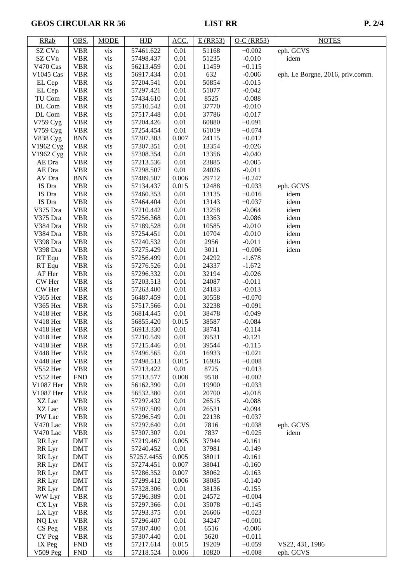# GEOS CIRCULAR RR 56 LIST RR P. 2/4

| <b>RRab</b>          | OBS.                     | <b>MODE</b> | HJD                    | ACC.          | $E$ (RR53)     | $O-C$ (RR53)         | <b>NOTES</b>                     |
|----------------------|--------------------------|-------------|------------------------|---------------|----------------|----------------------|----------------------------------|
| SZ CVn               | <b>VBR</b>               | vis         | 57461.622              | 0.01          | 51168          | $+0.002$             | eph. GCVS                        |
| SZ CVn               | <b>VBR</b>               | vis         | 57498.437              | 0.01          | 51235          | $-0.010$             | idem                             |
| V470 Cas             | <b>VBR</b>               | vis         | 56213.459              | 0.01          | 11459          | $+0.115$             |                                  |
| V1045 Cas            | <b>VBR</b>               | vis         | 56917.434              | 0.01          | 632            | $-0.006$             | eph. Le Borgne, 2016, priv.comm. |
| EL Cep               | <b>VBR</b>               | vis         | 57204.541              | 0.01          | 50854          | $-0.015$             |                                  |
| EL Cep               | <b>VBR</b>               | vis         | 57297.421              | 0.01          | 51077          | $-0.042$             |                                  |
| TU Com               | <b>VBR</b>               | vis         | 57434.610              | 0.01          | 8525           | $-0.088$             |                                  |
| DL Com               | <b>VBR</b>               | vis         | 57510.542              | 0.01          | 37770          | $-0.010$             |                                  |
| DL Com               | <b>VBR</b>               | vis         | 57517.448              | 0.01          | 37786          | $-0.017$             |                                  |
| V759 Cyg             | <b>VBR</b>               | vis         | 57204.426              | 0.01          | 60880          | $+0.091$             |                                  |
| V759 Cyg<br>V838 Cyg | <b>VBR</b><br><b>BNN</b> | vis<br>vis  | 57254.454<br>57307.383 | 0.01<br>0.007 | 61019<br>24115 | $+0.074$<br>$+0.012$ |                                  |
| V1962 Cyg            | <b>VBR</b>               | vis         | 57307.351              | 0.01          | 13354          | $-0.026$             |                                  |
| V1962 Cyg            | <b>VBR</b>               | vis         | 57308.354              | 0.01          | 13356          | $-0.040$             |                                  |
| AE Dra               | <b>VBR</b>               | vis         | 57213.536              | 0.01          | 23885          | $-0.005$             |                                  |
| AE Dra               | <b>VBR</b>               | vis         | 57298.507              | 0.01          | 24026          | $-0.011$             |                                  |
| AV Dra               | <b>BNN</b>               | vis         | 57489.507              | 0.006         | 29712          | $+0.247$             |                                  |
| IS Dra               | <b>VBR</b>               | vis         | 57134.437              | 0.015         | 12488          | $+0.033$             | eph. GCVS                        |
| IS Dra               | <b>VBR</b>               | vis         | 57460.353              | 0.01          | 13135          | $+0.016$             | idem                             |
| IS Dra               | <b>VBR</b>               | vis         | 57464.404              | 0.01          | 13143          | $+0.037$             | idem                             |
| V375 Dra             | <b>VBR</b>               | vis         | 57210.442              | 0.01          | 13258          | $-0.064$             | idem                             |
| V375 Dra             | <b>VBR</b>               | vis         | 57256.368              | 0.01          | 13363          | $-0.086$             | idem                             |
| V384 Dra             | <b>VBR</b>               | vis         | 57189.528              | 0.01          | 10585          | $-0.010$             | idem                             |
| V384 Dra             | <b>VBR</b>               | vis         | 57254.451              | 0.01          | 10704          | $-0.010$             | idem                             |
| V398 Dra             | <b>VBR</b>               | vis         | 57240.532              | 0.01          | 2956           | $-0.011$             | idem                             |
| V398 Dra             | <b>VBR</b>               | vis         | 57275.429              | 0.01          | 3011           | $+0.006$             | idem                             |
| RT Equ               | <b>VBR</b>               | vis         | 57256.499              | 0.01          | 24292          | $-1.678$             |                                  |
| RT Equ               | <b>VBR</b>               | vis         | 57276.526              | 0.01          | 24337          | $-1.672$             |                                  |
| AF Her               | <b>VBR</b>               | vis         | 57296.332              | 0.01          | 32194          | $-0.026$             |                                  |
| CW Her               | <b>VBR</b>               | vis         | 57203.513              | 0.01          | 24087          | $-0.011$             |                                  |
| CW Her<br>V365 Her   | <b>VBR</b><br><b>VBR</b> | vis<br>vis  | 57263.400<br>56487.459 | 0.01<br>0.01  | 24183<br>30558 | $-0.013$<br>$+0.070$ |                                  |
| V365 Her             | <b>VBR</b>               | vis         | 57517.566              | 0.01          | 32238          | $+0.091$             |                                  |
| V418 Her             | <b>VBR</b>               | vis         | 56814.445              | 0.01          | 38478          | $-0.049$             |                                  |
| V418 Her             | <b>VBR</b>               | vis         | 56855.420              | 0.015         | 38587          | $-0.084$             |                                  |
| V418 Her             | <b>VBR</b>               | vis         | 56913.330              | 0.01          | 38741          | $-0.114$             |                                  |
| V418 Her             | <b>VBR</b>               | vis         | 57210.549              | 0.01          | 39531          | $-0.121$             |                                  |
| V418 Her             | <b>VBR</b>               | vis         | 57215.446              | 0.01          | 39544          | $-0.115$             |                                  |
| V448 Her             | <b>VBR</b>               | <b>VIS</b>  | 57496.565              | 0.01          | 16933          | $+0.021$             |                                  |
| V448 Her             | <b>VBR</b>               | vis         | 57498.513              | 0.015         | 16936          | $+0.008$             |                                  |
| V552 Her             | <b>VBR</b>               | vis         | 57213.422              | 0.01          | 8725           | $+0.013$             |                                  |
| V552 Her             | <b>FND</b>               | vis         | 57513.577              | 0.008         | 9518           | $+0.002$             |                                  |
| V1087 Her            | <b>VBR</b>               | vis         | 56162.390              | 0.01          | 19900          | $+0.033$             |                                  |
| V1087 Her            | <b>VBR</b>               | vis         | 56532.380              | 0.01          | 20700          | $-0.018$             |                                  |
| XZ Lac               | <b>VBR</b>               | vis         | 57297.432              | 0.01          | 26515          | $-0.088$             |                                  |
| XZ Lac               | <b>VBR</b>               | vis         | 57307.509              | 0.01          | 26531<br>22138 | $-0.094$             |                                  |
| PW Lac               | <b>VBR</b>               | vis         | 57296.549              | 0.01          | 7816           | $+0.037$<br>$+0.038$ |                                  |
| V470 Lac<br>V470 Lac | <b>VBR</b><br><b>VBR</b> | vis<br>vis  | 57297.640<br>57307.307 | 0.01<br>0.01  | 7837           | $+0.025$             | eph. GCVS<br>idem                |
| RR Lyr               | <b>DMT</b>               | vis         | 57219.467              | 0.005         | 37944          | $-0.161$             |                                  |
| RR Lyr               | <b>DMT</b>               | vis         | 57240.452              | 0.01          | 37981          | $-0.149$             |                                  |
| RR Lyr               | <b>DMT</b>               | vis         | 57257.4455             | 0.005         | 38011          | $-0.161$             |                                  |
| RR Lyr               | DMT                      | vis         | 57274.451              | 0.007         | 38041          | $-0.160$             |                                  |
| RR Lyr               | <b>DMT</b>               | vis         | 57286.352              | 0.007         | 38062          | $-0.163$             |                                  |
| RR Lyr               | <b>DMT</b>               | vis         | 57299.412              | 0.006         | 38085          | $-0.140$             |                                  |
| RR Lyr               | <b>DMT</b>               | vis         | 57328.306              | 0.01          | 38136          | $-0.155$             |                                  |
| WW Lyr               | <b>VBR</b>               | vis         | 57296.389              | 0.01          | 24572          | $+0.004$             |                                  |
| CX Lyr               | <b>VBR</b>               | vis         | 57297.366              | 0.01          | 35078          | $+0.145$             |                                  |
| LX Lyr               | <b>VBR</b>               | vis         | 57293.375              | $0.01\,$      | 26606          | $+0.023$             |                                  |
| NQ Lyr               | <b>VBR</b>               | vis         | 57296.407              | 0.01          | 34247          | $+0.001$             |                                  |
| CS Peg               | <b>VBR</b>               | vis         | 57307.400              | 0.01          | 6516           | $-0.006$             |                                  |
| CY Peg               | <b>VBR</b>               | vis         | 57307.440              | 0.01          | 5620           | $+0.011$             |                                  |
| IX Peg               | ${\hbox{FND}}$           | vis         | 57217.614              | 0.015         | 19209          | $+0.059$             | VS22, 431, 1986                  |
| <b>V509 Peg</b>      | <b>FND</b>               | vis         | 57218.524              | 0.006         | 10820          | $+0.008$             | eph. GCVS                        |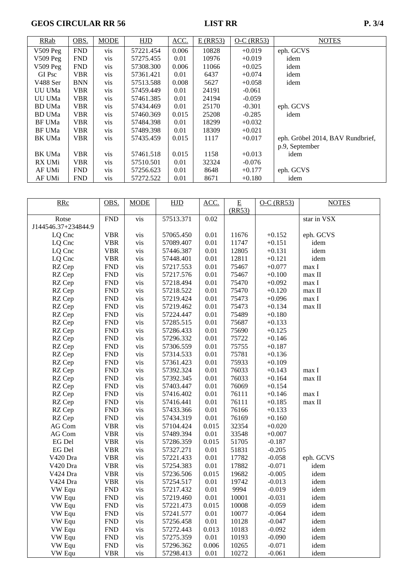GEOS CIRCULAR RR 56 LIST RR P. 3/4

| RRab          | OBS.       | <b>MODE</b>     | <b>HJD</b> | ACC.  | $E$ (RR53) | $O-C$ (RR53) | <b>NOTES</b>                     |
|---------------|------------|-----------------|------------|-------|------------|--------------|----------------------------------|
| $V509$ Peg    | <b>FND</b> | V <sub>is</sub> | 57221.454  | 0.006 | 10828      | $+0.019$     | eph. GCVS                        |
| $V509$ Peg    | <b>FND</b> | <b>VIS</b>      | 57275.455  | 0.01  | 10976      | $+0.019$     | idem                             |
| $V509$ Peg    | <b>FND</b> | <b>VIS</b>      | 57308.300  | 0.006 | 11066      | $+0.025$     | idem                             |
| GI Psc        | <b>VBR</b> | <b>vis</b>      | 57361.421  | 0.01  | 6437       | $+0.074$     | idem                             |
| V488 Ser      | <b>BNN</b> | vis             | 57513.588  | 0.008 | 5627       | $+0.058$     | idem                             |
| UU UMa        | <b>VBR</b> | vis             | 57459.449  | 0.01  | 24191      | $-0.061$     |                                  |
| UU UMa        | <b>VBR</b> | <b>vis</b>      | 57461.385  | 0.01  | 24194      | $-0.059$     |                                  |
| BD UMa        | <b>VBR</b> | vis             | 57434.469  | 0.01  | 25170      | $-0.301$     | eph. GCVS                        |
| BD UMa        | <b>VBR</b> | vis             | 57460.369  | 0.015 | 25208      | $-0.285$     | idem                             |
| <b>BF UMa</b> | <b>VBR</b> | vis             | 57484.398  | 0.01  | 18299      | $+0.032$     |                                  |
| <b>BF UMa</b> | <b>VBR</b> | vis             | 57489.398  | 0.01  | 18309      | $+0.021$     |                                  |
| BK UMa        | <b>VBR</b> | vis             | 57435.459  | 0.015 | 1117       | $+0.017$     | eph. Gröbel 2014, BAV Rundbrief, |
|               |            |                 |            |       |            |              | p.9, September                   |
| <b>BK UMa</b> | <b>VBR</b> | vis             | 57461.518  | 0.015 | 1158       | $+0.013$     | idem                             |
| RX UMi        | <b>VBR</b> | vis             | 57510.501  | 0.01  | 32324      | $-0.076$     |                                  |
| AF UMi        | <b>FND</b> | <b>vis</b>      | 57256.623  | 0.01  | 8648       | $+0.177$     | eph. GCVS                        |
| AF UMi        | <b>FND</b> | <b>vis</b>      | 57272.522  | 0.01  | 8671       | $+0.180$     | idem                             |

| <b>RRc</b>          | OBS.           | <b>MODE</b> | HJD       | ACC.     | E      | $O-C$ (RR53) | <b>NOTES</b> |
|---------------------|----------------|-------------|-----------|----------|--------|--------------|--------------|
|                     |                |             |           |          | (RR53) |              |              |
| Rotse               | <b>FND</b>     | vis         | 57513.371 | 0.02     |        |              | star in VSX  |
| J144546.37+234844.9 |                |             |           |          |        |              |              |
| LQ Cnc              | <b>VBR</b>     | vis         | 57065.450 | 0.01     | 11676  | $+0.152$     | eph. GCVS    |
| LQ Cnc              | <b>VBR</b>     | vis         | 57089.407 | 0.01     | 11747  | $+0.151$     | idem         |
| LQ Cnc              | <b>VBR</b>     | vis         | 57446.387 | 0.01     | 12805  | $+0.131$     | idem         |
| LQ Cnc              | <b>VBR</b>     | vis         | 57448.401 | 0.01     | 12811  | $+0.121$     | idem         |
| RZ Cep              | <b>FND</b>     | vis         | 57217.553 | 0.01     | 75467  | $+0.077$     | max I        |
| RZ Cep              | <b>FND</b>     | vis         | 57217.576 | 0.01     | 75467  | $+0.100$     | max II       |
| RZ Cep              | <b>FND</b>     | vis         | 57218.494 | 0.01     | 75470  | $+0.092$     | max I        |
| RZ Cep              | <b>FND</b>     | vis         | 57218.522 | 0.01     | 75470  | $+0.120$     | max II       |
| RZ Cep              | ${\rm FND}$    | vis         | 57219.424 | 0.01     | 75473  | $+0.096$     | max I        |
| RZ Cep              | <b>FND</b>     | vis         | 57219.462 | 0.01     | 75473  | $+0.134$     | $max$ II     |
| RZ Cep              | <b>FND</b>     | vis         | 57224.447 | $0.01\,$ | 75489  | $+0.180$     |              |
| RZ Cep              | <b>FND</b>     | vis         | 57285.515 | 0.01     | 75687  | $+0.133$     |              |
| RZ Cep              | <b>FND</b>     | vis         | 57286.433 | 0.01     | 75690  | $+0.125$     |              |
| RZ Cep              | ${\rm FND}$    | vis         | 57296.332 | 0.01     | 75722  | $+0.146$     |              |
| RZ Cep              | <b>FND</b>     | vis         | 57306.559 | 0.01     | 75755  | $+0.187$     |              |
| RZ Cep              | ${\rm FND}$    | vis         | 57314.533 | 0.01     | 75781  | $+0.136$     |              |
| RZ Cep              | ${\hbox{FND}}$ | vis         | 57361.423 | 0.01     | 75933  | $+0.109$     |              |
| RZ Cep              | <b>FND</b>     | vis         | 57392.324 | 0.01     | 76033  | $+0.143$     | max I        |
| RZ Cep              | <b>FND</b>     | vis         | 57392.345 | 0.01     | 76033  | $+0.164$     | max II       |
| RZ Cep              | ${\hbox{FND}}$ | vis         | 57403.447 | 0.01     | 76069  | $+0.154$     |              |
| RZ Cep              | ${\rm FND}$    | vis         | 57416.402 | 0.01     | 76111  | $+0.146$     | max I        |
| RZ Cep              | <b>FND</b>     | vis         | 57416.441 | 0.01     | 76111  | $+0.185$     | max II       |
| RZ Cep              | ${\rm FND}$    | vis         | 57433.366 | 0.01     | 76166  | $+0.133$     |              |
| RZ Cep              | <b>FND</b>     | vis         | 57434.319 | 0.01     | 76169  | $+0.160$     |              |
| AG Com              | <b>VBR</b>     | vis         | 57104.424 | 0.015    | 32354  | $+0.020$     |              |
| AG Com              | <b>VBR</b>     | vis         | 57489.394 | $0.01\,$ | 33548  | $+0.007$     |              |
| EG Del              | <b>VBR</b>     | vis         | 57286.359 | 0.015    | 51705  | $-0.187$     |              |
| EG Del              | <b>VBR</b>     | vis         | 57327.271 | 0.01     | 51831  | $-0.205$     |              |
| V420 Dra            | <b>VBR</b>     | vis         | 57221.433 | 0.01     | 17782  | $-0.058$     | eph. GCVS    |
| V420 Dra            | <b>VBR</b>     | vis         | 57254.383 | 0.01     | 17882  | $-0.071$     | idem         |
| V424 Dra            | <b>VBR</b>     | vis         | 57236.506 | 0.015    | 19682  | $-0.005$     | idem         |
| V424 Dra            | <b>VBR</b>     | vis         | 57254.517 | 0.01     | 19742  | $-0.013$     | idem         |
| VW Equ              | ${\rm FND}$    | vis         | 57217.432 | 0.01     | 9994   | $-0.019$     | idem         |
| VW Equ              | ${\hbox{FND}}$ | vis         | 57219.460 | 0.01     | 10001  | $-0.031$     | idem         |
| VW Equ              | <b>FND</b>     | vis         | 57221.473 | 0.015    | 10008  | $-0.059$     | idem         |
| VW Equ              | ${\rm FND}$    | vis         | 57241.577 | 0.01     | 10077  | $-0.064$     | idem         |
| VW Equ              | ${\hbox{FND}}$ | vis         | 57256.458 | 0.01     | 10128  | $-0.047$     | idem         |
| VW Equ              | <b>FND</b>     | vis         | 57272.443 | 0.013    | 10183  | $-0.092$     | idem         |
| VW Equ              | <b>FND</b>     | vis         | 57275.359 | $0.01\,$ | 10193  | $-0.090$     | idem         |
| VW Equ              | <b>FND</b>     | vis         | 57296.362 | 0.006    | 10265  | $-0.071$     | idem         |
| VW Equ              | <b>VBR</b>     | vis         | 57298.413 | 0.01     | 10272  | $-0.061$     | idem         |